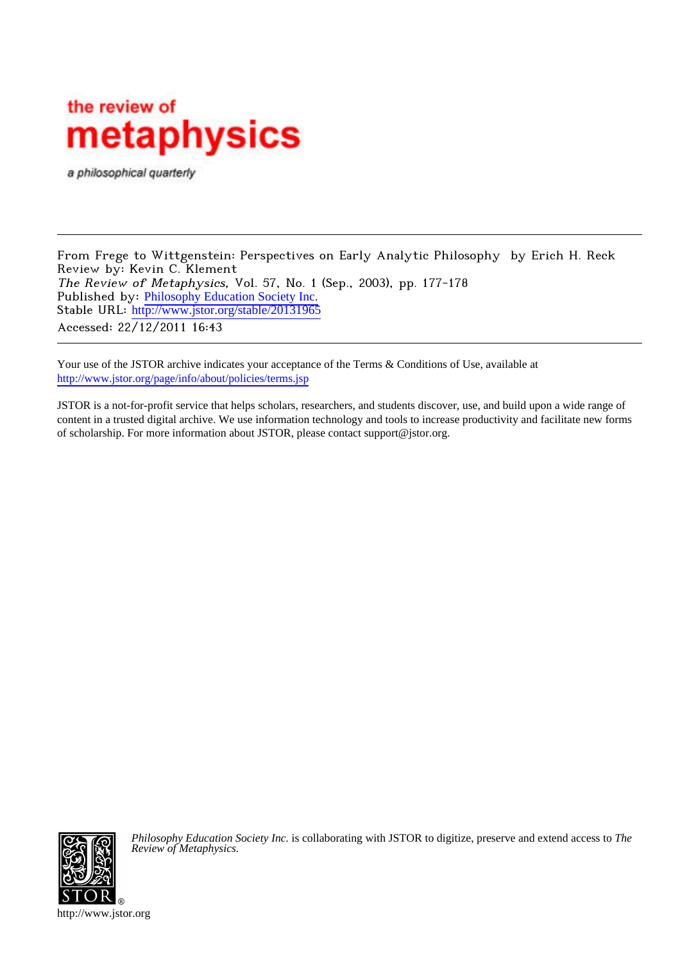## the review of metaphysics

a philosophical quarterly

From Frege to Wittgenstein: Perspectives on Early Analytic Philosophy by Erich H. Reck Review by: Kevin C. Klement The Review of Metaphysics, Vol. 57, No. 1 (Sep., 2003), pp. 177-178 Published by: [Philosophy Education Society Inc.](http://www.jstor.org/action/showPublisher?publisherCode=pes) Stable URL: http://www.jstor.org/stable/20131965 Accessed: 22/12/2011 16:43

Your use of the JSTOR archive indicates your acceptance of the Terms & Conditions of Use, available at <http://www.jstor.org/page/info/about/policies/terms.jsp>

JSTOR is a not-for-profit service that helps scholars, researchers, and students discover, use, and build upon a wide range of content in a trusted digital archive. We use information technology and tools to increase productivity and facilitate new forms of scholarship. For more information about JSTOR, please contact support@jstor.org.



*Philosophy Education Society Inc.* is collaborating with JSTOR to digitize, preserve and extend access to *The Review of Metaphysics.*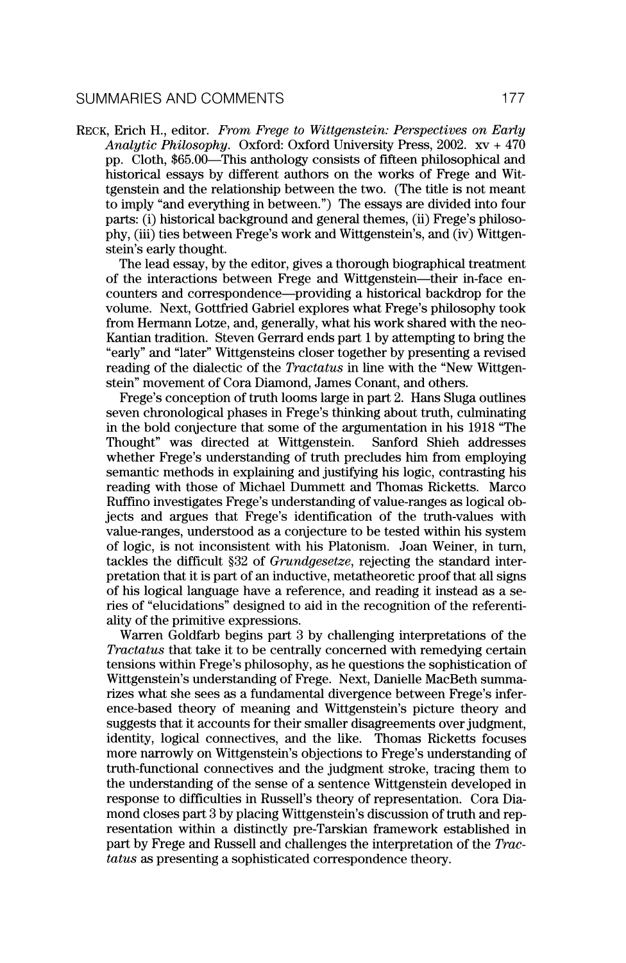**Reck, Erich H., editor. From Frege to Wittgenstein: Perspectives on Early Analytic Philosophy. Oxford: Oxford University Press, 2002. xv + 470**  pp. Cloth, \$65.00—This anthology consists of fifteen philosophical and **historical essays by different authors on the works of Frege and Wit tgenstein and the relationship between the two. (The title is not meant to imply "and everything in between.") The essays are divided into four**  parts: (i) historical background and general themes, (ii) Frege's philoso**phy, (iii) ties between Frege's work and Wittgenstein's, and (iv) Wittgen stein's early thought.** 

**The lead essay, by the editor, gives a thorough biographical treatment**  of the interactions between Frege and Wittgenstein—their in-face encounters and correspondence—providing a historical backdrop for the **volume. Next, Gottfried Gabriel explores what Frege's philosophy took**  from Hermann Lotze, and, generally, what his work shared with the neo-**Kantian tradition. Steven Gerrard ends part 1 by attempting to bring the "early" and "later" Wittgensteins closer together by presenting a revised**  reading of the dialectic of the *Tractatus* in line with the "New Wittgen**stein" movement of Cora Diamond, James Conant, and others.** 

**Frege's conception of truth looms large in part 2. Hans Sluga outlines seven chronological phases in Frege's thinking about truth, culminating in the bold conjecture that some of the argumentation in his 1918 "The Thought" was directed at Wittgenstein. Sanford Shieh addresses**  whether Frege's understanding of truth precludes him from employing **the contract of the state of the state of the state of the state of the state of the state of the state of the state of the state of the state of the sta semantic methods in explaining and justifying his logic, contrasting his reading with those of Michael Dummett and Thomas Ricketts. Marco Ruffino investigates Frege's understanding of value-ranges as logical ob jects and argues that Frege's identification of the truth-values with value-ranges, understood as a conjecture to be tested within his system of logic, is not inconsistent with his Platonism. Joan Weiner, in turn,**  tackles the difficult \$32 of *Grundgesetze*, rejecting the standard inter**pretation that it is part of an inductive, metatheoretic proof that all signs of his logical language have a reference, and reading it instead as a se**  ries of "elucidations" designed to aid in the recognition of the referenti**ality of the primitive expressions.** 

**Warren Goldfarb begins part 3 by challenging interpretations of the Tractatus that take it to be centrally concerned with remedying certain tensions within Frege's philosophy, as he questions the sophistication of Wittgenstein's understanding of Frege. Next, Danielle MacBeth summa rizes what she sees as a fundamental divergence between Frege's infer ence-based theory of meaning and Wittgenstein's picture theory and suggests that it accounts for their smaller disagreements over judgment, identity, logical connectives, and the like. Thomas Ricketts focuses more narrowly on Wittgenstein's objections to Frege's understanding of truth-functional connectives and the judgment stroke, tracing them to the understanding of the sense of a sentence Wittgenstein developed in response to difficulties in Russell's theory of representation. Cora Dia**  mond closes part 3 by placing Wittgenstein's discussion of truth and rep**resentation within a distinctly pre-Tarskian framework established in part by Frege and Russell and challenges the interpretation of the Trac tatus as presenting a sophisticated correspondence theory.**